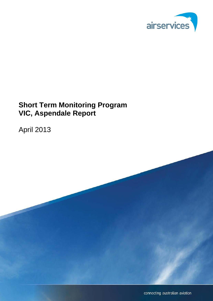

# **Short Term Monitoring Program VIC, Aspendale Report**

April 2013

connecting australian aviation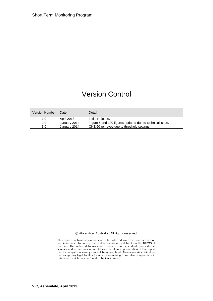# Version Control

| <b>Version Number</b> | Date              | Detail                                                   |
|-----------------------|-------------------|----------------------------------------------------------|
| 1.0                   | <b>April 2013</b> | Initial Release.                                         |
| 2.0                   | January 2014      | Figure 5 and L90 figures updated due to technical issue. |
| 3.0                   | January 2014      | CNE 60 removed due to threshold settings.                |
|                       |                   |                                                          |

© Airservices Australia. All rights reserved.

This report contains a summary of data collected over the specified period and is intended to convey the best information available from the NFPMS at the time. The system databases are to some extent dependent upon external sources and errors may occur. All care is taken in preparation of the report but its complete accuracy can not be guaranteed. Airservices Australia does not accept any legal liability for any losses arising from reliance upon data in this report which may be found to be inaccurate.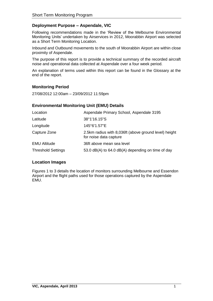# **Deployment Purpose – Aspendale, VIC**

Following recommendations made in the 'Review of the Melbourne Environmental Monitoring Units' undertaken by Airservices in 2012, Moorabbin Airport was selected as a Short Term Monitoring Location.

Inbound and Outbound movements to the south of Moorabbin Airport are within close proximity of Aspendale.

The purpose of this report is to provide a technical summary of the recorded aircraft noise and operational data collected at Aspendale over a four week period.

An explanation of terms used within this report can be found in the Glossary at the end of the report.

# **Monitoring Period**

27/08/2012 12:00am – 23/09/2012 11:59pm

## **Environmental Monitoring Unit (EMU) Details**

| Location                  | Aspendale Primary School, Aspendale 3195                                        |
|---------------------------|---------------------------------------------------------------------------------|
| Latitude                  | 38°1'16.15"S                                                                    |
| Longitude                 | 145°6'1.57"E                                                                    |
| Capture Zone              | 2.5km radius with 8,036ft (above ground level) height<br>for noise data capture |
| <b>EMU Altitude</b>       | 36ft above mean sea level                                                       |
| <b>Threshold Settings</b> | 53.0 dB(A) to 64.0 dB(A) depending on time of day                               |

## **Location Images**

Figures 1 to 3 details the location of monitors surrounding Melbourne and Essendon Airport and the flight paths used for those operations captured by the Aspendale EMU.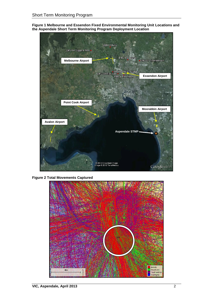**Figure 1 Melbourne and Essendon Fixed Environmental Monitoring Unit Locations and the Aspendale Short Term Monitoring Program Deployment Location**



**Figure 2 Total Movements Captured**

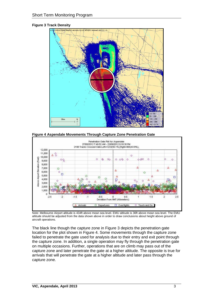## **Figure 3 Track Density**



**Figure 4 Aspendale Movements Through Capture Zone Penetration Gate**



Note: Melbourne Airport altitude is 434ft above mean sea level. EMU altitude is 36ft above mean sea level. The EMU altitude should be adjusted from the data shown above in order to draw conclusions about height above ground of aircraft operations.

The black line though the capture zone in Figure 3 depicts the penetration gate location for the plot shown in Figure 4. Some movements through the capture zone failed to penetrate the gate used for analysis due to their entry and exit point through the capture zone. In addition, a single operation may fly through the penetration gate on multiple occasions. Further, operations that are on climb may pass out of the capture zone and later penetrate the gate at a higher altitude. The opposite is true for arrivals that will penetrate the gate at a higher altitude and later pass through the capture zone.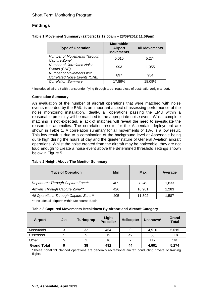# **Findings**

| <b>Type of Operation</b>                                  | <b>Moorabbin</b><br><b>Airport</b><br><b>Movements</b> | <b>All Movements</b> |
|-----------------------------------------------------------|--------------------------------------------------------|----------------------|
| <b>Number of Movements Through</b><br>Capture Zone*       | 5,015                                                  | 5,274                |
| <b>Number of Correlated Noise</b><br>Events (CNE)         | 993                                                    | 1,055                |
| Number of Movements with<br>Correlated Noise Events (CNE) | 897                                                    | 954                  |
| <b>Correlation Summary</b>                                | 17.89%                                                 | 18.09%               |

**Table 1 Movement Summary (27/08/2012 12:00am – 23/09/2012 11:59pm)**

\* Includes all aircraft with transponder flying through area, regardless of destination/origin airport.

## **Correlation Summary**

An evaluation of the number of aircraft operations that were matched with noise events recorded by the EMU is an important aspect of assessing performance of the noise monitoring installation. Ideally, all operations passing the EMU within a reasonable proximity will be matched to the appropriate noise event. Whilst complete matching is not expected, a lack of matches will reveal the need to investigate the reason for anomalies. The correlation results for the Aspendale deployment are shown in Table 1. A correlation summary for all movements of 18% is a low result. This low result is due to a combination of the background level at Aspendale being quite high during the hours of day and the quieter nature of General Aviation aircraft operations. Whilst the noise created from the aircraft may be noticeable, they are not loud enough to create a noise event above the determined threshold settings shown below in Figure 5.

| <b>Type of Operation</b>              | Min | Max    | Average |
|---------------------------------------|-----|--------|---------|
| Departures Through Capture Zone**     | 405 | 7.249  | 1,833   |
| Arrivals Through Capture Zone**       | 426 | 10.901 | 1,283   |
| All Operations Through Capture Zone** | 405 | 11,392 | 1,587   |

#### **Table 2 Height Above The Monitor Summary**

\*\* Includes all airports within Melbourne Basin.

#### **Table 3 Captured Movements Breakdown By Airport and Aircraft Category**

| <b>Airport</b>     | <b>Jet</b> | Turboprop | Light<br><b>Propeller</b> | <b>Helicopter</b> | Unknown* | Grand<br><b>Total</b> |
|--------------------|------------|-----------|---------------------------|-------------------|----------|-----------------------|
| Moorabbin          | 3          | 32        | 464                       |                   | 4,516    | 5,015                 |
| Essendon           |            | 5         | 12                        | 42                | 58       | 118                   |
| Other              |            |           | 16                        | 2                 | 117      | 141                   |
| <b>Grand Total</b> | 9          | 38        | 492                       | 44                | 4,691    | 5,274                 |

\*These non-flight planned operations are generally recreational aircraft conducting private or training flights.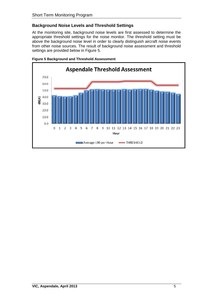# **Background Noise Levels and Threshold Settings**

At the monitoring site, background noise levels are first assessed to determine the appropriate threshold settings for the noise monitor. The threshold setting must be above the background noise level in order to clearly distinguish aircraft noise events from other noise sources. The result of background noise assessment and threshold settings are provided below in Figure 5.



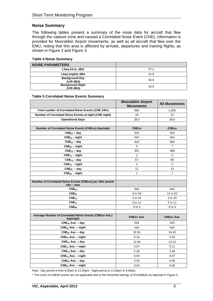## **Noise Summary**

The following tables present a summary of the noise data for aircraft that flew through the capture zone and caused a Correlated Noise Event (CNE). Information is provided for Moorabbin Airport movements, as well as all aircraft that flew over the EMU, noting that this area is affected by arrivals, departures and training flights, as shown in Figure 2 and Figure 3.

#### **Table 4 Noise Summary**

| <b>NOISE PARAMETERS</b>              |      |
|--------------------------------------|------|
| LAeg 24 hr, dBA                      | 57.2 |
| LAeg (night), dBA                    | 51.8 |
| <b>Background Day</b><br>(L90 dBA)   | 50.6 |
| <b>Background Night</b><br>(L90 dBA) | 42.6 |

#### **Table 5 Correlated Noise Events Summary**

|                                                                        | <b>Moorabbin Airport</b><br><b>Movements</b> | <b>All Movements</b> |
|------------------------------------------------------------------------|----------------------------------------------|----------------------|
| Total number of Correlated Noise Events (CNE 24hr)                     | 993                                          | 1,055                |
| Number of Correlated Noise Events at night (CNE night)                 | 10                                           | 12                   |
| <b>Operational Days</b>                                                | 28.0                                         | 28.0                 |
|                                                                        |                                              |                      |
| Number of Correlated Noise Events (CNExx) day/night                    | <b>CNExx</b>                                 | <b>CNExx</b>         |
| $CNE60 - day$                                                          | N/A                                          | N/A                  |
| $CNE60$ - night                                                        | N/A                                          | N/A                  |
| $CNE_{65}$ – day                                                       | 910                                          | 964                  |
| $CNE_{65}$ - night                                                     | 5                                            | 7                    |
| $CNE_{70}$ – day                                                       | 351                                          | 368                  |
| $CNE_{70}$ - night                                                     | 2                                            | 3                    |
| $CNE_{75}$ – day                                                       | 67                                           | 69                   |
| $CNE_{75}$ - night                                                     | 1                                            | 2                    |
| $CNE80 - day$                                                          | 12                                           | 13                   |
| $CNE_{80}$ - night                                                     | 1                                            | 1                    |
|                                                                        |                                              |                      |
| Number of Correlated Noise Events (CNExx) per 24hr period<br>min – max |                                              |                      |
| CNE <sub>60</sub>                                                      | N/A                                          | N/A                  |
| $CNE_{65}$                                                             | 9 to 59                                      | 12 to 62             |
| $CNE_{70}$                                                             | 2 to 31                                      | 3 to 33              |
| $CNE_{75}$                                                             | 0 to 11                                      | 0 to 11              |
| $\mathsf{CNE}_{80}$                                                    | $0$ to $3$                                   | 0 to 3               |
|                                                                        |                                              |                      |
| Average Number of Correlated Noise Events (CNExx Ave.)<br>day/night    | <b>CNExx Ave.</b>                            | <b>CNExx Ave.</b>    |
| $CNE60$ Ave. – day                                                     | N/A                                          | N/A                  |
| $CNE60$ Ave. - night                                                   | N/A                                          | N/A                  |
| $CNE65$ Ave. $-$ day                                                   | 32.50                                        | 34.43                |
| $CNE_{65}$ Ave. - night                                                | 0.18                                         | 0.25                 |
| $CNE70$ Ave. $-$ day                                                   | 12.54                                        | 13.14                |
| $CNE_{70}$ Ave. - night                                                | 0.07                                         | 0.11                 |
| $CNE_{75}$ Ave. – day                                                  | 2.39                                         | 2.46                 |
| $CNE_{75}$ Ave. – night                                                | 0.04                                         | 0.07                 |
| $CNE80$ Ave. $-$ day                                                   | 0.43                                         | 0.46                 |
| $CNE80$ Ave. $-$ night                                                 | 0.04                                         | 0.04                 |

Note: Day period is from 6:00am to 11:00pm. Night period is 11:00pm to 6:00am.

\* The count of CNE60 events are not applicable due to the threshold settings of 53-64dB(A) as depicted in Figure 5.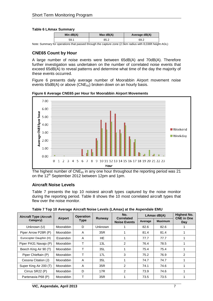## **Table 6 LAmax Summary**

| Min $dB(A)$ | Max dB(A) | Average dB(A) |
|-------------|-----------|---------------|
| 59.1        | 85.2      | 69.2          |

Note: Summary for operations that passed through the capture zone (2.5km radius with 8,036ft height AGL)

# **CNE65 Count by Hour**

A large number of noise events were between 65dB(A) and 70dB(A). Therefore further investigation was undertaken on the number of correlated noise events that exceed 65dB(A) to reveal patterns and determine what time of the day the majority of these events occurred.

Figure 6 presents daily average number of Moorabbin Airport movement noise events 65dB(A) or above (CNE $_{65}$ ) broken down on an hourly basis.

**Figure 6 Average CNE65 per Hour for Moorabbin Airport Movements**



The highest number of  $CNE<sub>65</sub>$  in any one hour throughout the reporting period was 21 on the 12<sup>th</sup> September 2012 between 12pm and 1pm.

# **Aircraft Noise Levels**

Table 7 presents the top 10 noisiest aircraft types captured by the noise monitor during the reporting period. Table 8 shows the 10 most correlated aircraft types that flew over the noise monitor.

| <b>Aircraft Type (Aircraft</b> |                | <b>Operation</b> |           | No.                                      | LAmax $dB(A)$ |                | <b>Highest No.</b><br><b>CNE in One</b> |
|--------------------------------|----------------|------------------|-----------|------------------------------------------|---------------|----------------|-----------------------------------------|
| Category)                      | <b>Airport</b> | Type             | Runway    | <b>Correlated</b><br><b>Noise Events</b> | Average       | <b>Maximum</b> | Day                                     |
| Unknown (U)                    | Moorabbin      | D                | Unknown   |                                          | 82.6          | 82.6           |                                         |
| Piper Arrow P28R (P)           | Moorabbin      | A                | 35R       |                                          | 81.4          | 81.4           |                                         |
| Eurocopter Dauphin (H)         | Essendon       | A                | <b>HE</b> |                                          | 77.7          | 77.7           |                                         |
| Piper PA31 Navajo (P)          | Moorabbin      |                  | 13L       | $\overline{2}$                           | 76.4          | 78.5           |                                         |
| Beech King Air 90 (T)          | Moorabbin      |                  | 35L       |                                          | 75.4          | 75.4           |                                         |
| Piper Chieftain (P)            | Moorabbin      |                  | 17L       | 3                                        | 75.2          | 76.9           | $\overline{2}$                          |
| Cessna Citation (J)            | Moorabbin      | A                | 35L       |                                          | 74.7          | 74.7           |                                         |
| Super King Air 200 (T)         | Moorabbin      | A                | 35R       | $\overline{2}$                           | 74.1          | 74.6           |                                         |
| Cirrus SR22 (P)                | Moorabbin      | D                | 17R       | $\overline{2}$                           | 73.9          | 74.6           |                                         |
| Partenavia P68 (P)             | Moorabbin      | т                | 35R       |                                          | 73.5          | 73.5           |                                         |

**Table 7 Top 10 Average Aircraft Noise Levels (LAmax) at the Aspendale EMU**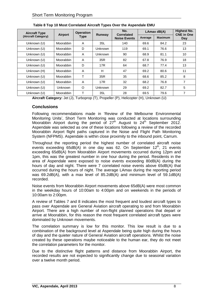| <b>Aircraft Type</b> | <b>Airport</b> | <b>Operation</b> |                | No.<br>Correlated   | LAmax dB(A) |                | <b>Highest No.</b><br><b>CNE in One</b> |
|----------------------|----------------|------------------|----------------|---------------------|-------------|----------------|-----------------------------------------|
| (Aircraft Category)  |                | Type             | Runway         | <b>Noise Events</b> | Average     | <b>Maximum</b> | Day                                     |
| Unknown (U)          | Moorabbin      | A                | 35L            | 140                 | 69.6        | 84.2           | 23                                      |
| Unknown (U)          | Moorabbin      | D                | <b>Unknown</b> | 119                 | 69.1        | 76.6           | 13                                      |
| Unknown (U)          | Moorabbin      | A                | <b>Unknown</b> | 90                  | 68.9        | 81.1           | 10                                      |
| Unknown (U)          | Moorabbin      | A                | 35R            | 82                  | 67.8        | 76.9           | 18                                      |
| Unknown (U)          | Moorabbin      | D                | <b>17R</b>     | 64                  | 68.7        | 77.4           | 13                                      |
| Unknown (H)          | Moorabbin      | A                | H              | 47                  | 69.2        | 80.6           | 11                                      |
| Unknown (U)          | Moorabbin      | T                | 35R            | 35                  | 68.6        | 85.2           | 8                                       |
| Unknown (U)          | Moorabbin      | A                | <b>17R</b>     | 32                  | 68.2        | 76.8           | 7                                       |
| Unknown (U)          | Unknown        | O                | <b>Unknown</b> | 29                  | 69.2        | 82.7           | 5                                       |
| Unknown (U)          | Moorabbin      | т                | 35L            | 28                  | 69.5        | 79.6           | 7                                       |

| Table 8 Top 10 Most Correlated Aircraft Types Over the Aspendale EMU |  |  |
|----------------------------------------------------------------------|--|--|
|                                                                      |  |  |

**Aircraft Category:** Jet (J), Turboprop (T), Propeller (P), Helicopter (H), Unknown (U)

## **Conclusions**

Following recommendations made in 'Review of the Melbourne Environmental Monitoring Units', Short Term Monitoring was conducted at locations surrounding Moorabbin Airport during the period of  $27<sup>th</sup>$  August to  $24<sup>th</sup>$  September 2012. Aspendale was selected as one of these locations following a review of the recorded Moorabbin Airport flight paths captured in the Noise and Flight Path Monitoring System (NFPMS). Aspendale is within close proximity to the inbound point, Carrum.

Throughout the reporting period the highest number of correlated aircraft noise events exceeding  $65dB(A)$  in one day was 62. On September  $12<sup>th</sup>$ , 21 events exceeding 65dB(A) from Moorabbin Airport movements occurred during 12pm and 1pm, this was the greatest number in one hour during the period. Residents in the area of Aspendale were exposed to noise events exceeding 80dB(A) during the hours of day and night. There were 7 correlated noise events above 65dB(A) that occurred during the hours of night. The average LAmax during the reporting period was 69.2dB(A), with a max level of 85.2dB(A) and minimum level of 59.1dB(A) recorded.

Noise events from Moorabbin Airport movements above 65dB(A) were most common in the weekday hours of 10:00am to 4:00pm and on weekends in the periods of 10:00am to 2:00pm.

A review of Tables 7 and 8 indicates the most frequent and loudest aircraft types to pass over Aspendale are General Aviation aircraft operating to and from Moorabbin Airport. There are a high number of non-flight planned operations that depart or arrive at Moorabbin, for this reason the most frequent correlated aircraft types were dominated by Unknown movements.

The correlation summary is low for this monitor. This low result is due to a combination of the background level at Aspendale being quite high during the hours of day and the quieter nature of General Aviation aircraft operations. Whilst the noise created by these operations maybe noticeable to the human ear, they do not meet the correlation parameters for the monitor.

Due to the distinctive flight patterns and distance from Moorabbin Airport, the recorded results are not expected to significantly change due to seasonal variation over a twelve month period.